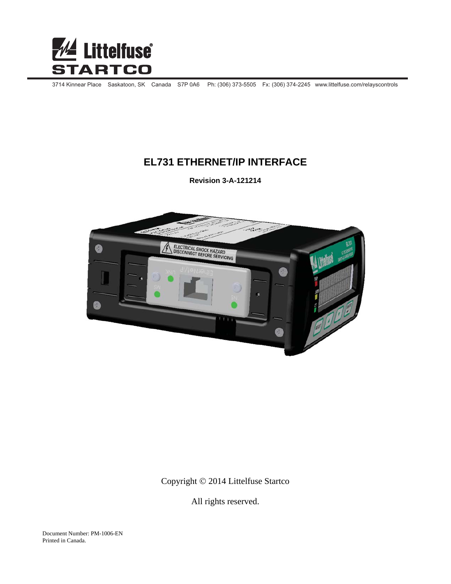

3714 Kinnear Place Saskatoon, SK Canada S7P 0A6 Ph: (306) 373-5505 Fx: (306) 374-2245 www.littelfuse.com/relayscontrols

# **EL731 ETHERNET/IP INTERFACE**

**Revision 3-A-121214** 



# Copyright © 2014 Littelfuse Startco

All rights reserved.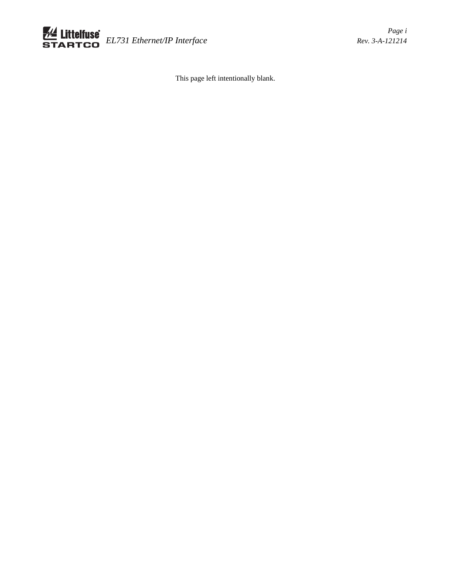

This page left intentionally blank.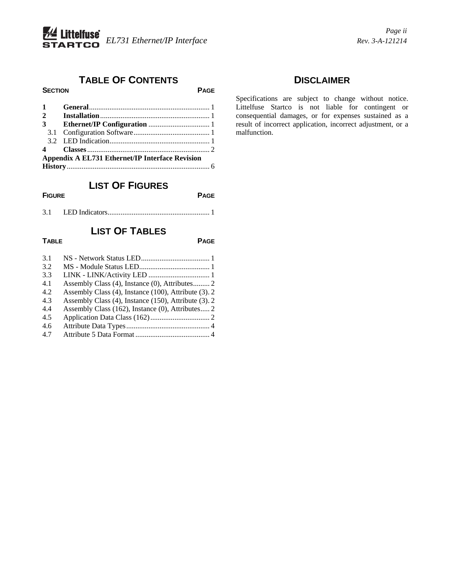# **TABLE OF CONTENTS**

#### **SECTION PAGE**

| $\mathbf{1}$ |                                                 |  |
|--------------|-------------------------------------------------|--|
| $\mathbf{2}$ |                                                 |  |
| 3            |                                                 |  |
|              |                                                 |  |
|              |                                                 |  |
|              |                                                 |  |
|              | Appendix A EL731 Ethernet/IP Interface Revision |  |
|              |                                                 |  |

## **LIST OF FIGURES FIGURE** PAGE

3.1 LED Indicators ....................................................... 1

# **LIST OF TABLES**

#### **TABLE** PAGE

| 3.1 |                                                      |
|-----|------------------------------------------------------|
| 3.2 |                                                      |
| 3.3 |                                                      |
| 4.1 | Assembly Class (4), Instance (0), Attributes 2       |
| 4.2 | Assembly Class (4), Instance (100), Attribute (3). 2 |
| 4.3 | Assembly Class (4), Instance (150), Attribute (3). 2 |
| 4.4 | Assembly Class (162), Instance (0), Attributes 2     |
| 4.5 |                                                      |
| 4.6 |                                                      |
| 4.7 |                                                      |
|     |                                                      |

# **DISCLAIMER**

Specifications are subject to change without notice. Littelfuse Startco is not liable for contingent or consequential damages, or for expenses sustained as a result of incorrect application, incorrect adjustment, or a malfunction.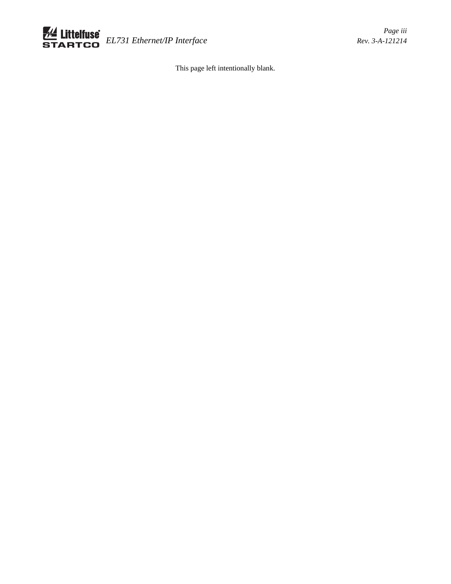

This page left intentionally blank.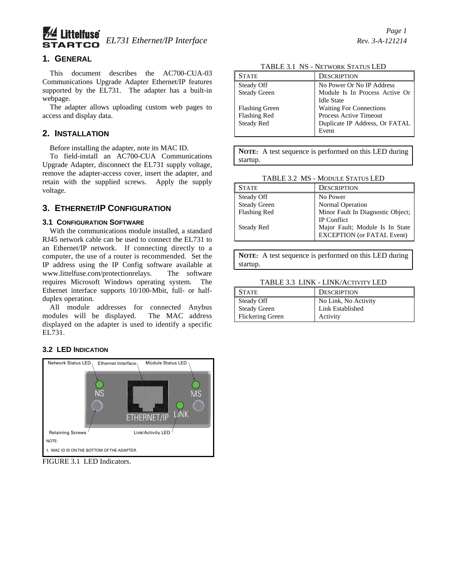

## **1. GENERAL**

 This document describes the AC700-CUA-03 Communications Upgrade Adapter Ethernet/IP features supported by the EL731. The adapter has a built-in webpage.

 The adapter allows uploading custom web pages to access and display data.

#### **2. INSTALLATION**

Before installing the adapter, note its MAC ID.

 To field-install an AC700-CUA Communications Upgrade Adapter, disconnect the EL731 supply voltage, remove the adapter-access cover, insert the adapter, and retain with the supplied screws. Apply the supply voltage.

## **3. ETHERNET/IP CONFIGURATION**

#### **3.1 CONFIGURATION SOFTWARE**

 With the communications module installed, a standard RJ45 network cable can be used to connect the EL731 to an Ethernet/IP network. If connecting directly to a computer, the use of a router is recommended.Set the IP address using the IP Config software available at www.littelfuse.com/protectionrelays. The software requires Microsoft Windows operating system. The Ethernet interface supports 10/100-Mbit, full- or halfduplex operation.

 All module addresses for connected Anybus modules will be displayed. The MAC address displayed on the adapter is used to identify a specific EL731.

### **3.2 LED INDICATION**



FIGURE 3.1 LED Indicators.

|  | TABLE 3.1 NS - NETWORK STATUS LED |
|--|-----------------------------------|
|--|-----------------------------------|

| <b>STATE</b>          | <b>DESCRIPTION</b>             |
|-----------------------|--------------------------------|
| Steady Off            | No Power Or No IP Address      |
| <b>Steady Green</b>   | Module Is In Process Active Or |
|                       | <b>Idle State</b>              |
| <b>Flashing Green</b> | <b>Waiting For Connections</b> |
| Flashing Red          | Process Active Timeout         |
| <b>Steady Red</b>     | Duplicate IP Address, Or FATAL |
|                       | Event                          |

**NOTE:** A test sequence is performed on this LED during startup.

TABLE 3.2 MS - MODULE STATUS LED

| <b>STATE</b>        | <b>DESCRIPTION</b>                                                   |
|---------------------|----------------------------------------------------------------------|
| Steady Off          | No Power                                                             |
| <b>Steady Green</b> | Normal Operation                                                     |
| <b>Flashing Red</b> | Minor Fault In Diagnostic Object;                                    |
|                     | IP Conflict                                                          |
| <b>Steady Red</b>   | Major Fault; Module Is In State<br><b>EXCEPTION</b> (or FATAL Event) |

**NOTE:** A test sequence is performed on this LED during startup.

#### TABLE 3.3 LINK - LINK/ACTIVITY LED

| <b>STATE</b>                      | DESCRIPTION                              |
|-----------------------------------|------------------------------------------|
| Steady Off<br><b>Steady Green</b> | No Link, No Activity<br>Link Established |
| <b>Flickering Green</b>           | Activity                                 |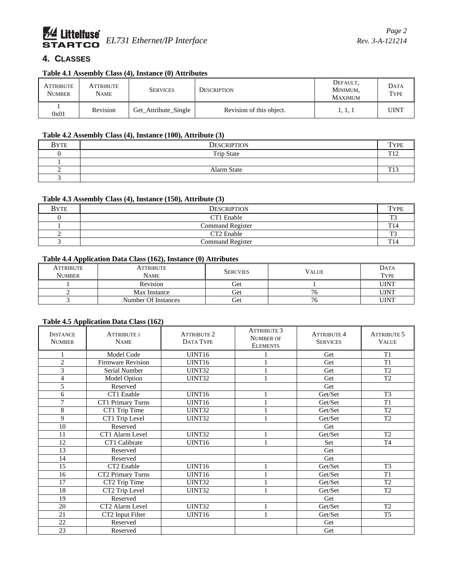

## **4. CLASSES**

#### **Table 4.1 Assembly Class (4), Instance (0) Attributes**

| ATTRIBUTE<br><b>NUMBER</b> | ATTRIBUTE<br>NAME | <b>SERVICES</b>      | <b>DESCRIPTION</b>       | DEFAULT,<br>MINIMUM.<br><b>MAXIMUM</b> | <b>DATA</b><br>TYPE |
|----------------------------|-------------------|----------------------|--------------------------|----------------------------------------|---------------------|
| 0x01                       | Revision          | Get Attribute Single | Revision of this object. | 1, 1, 1                                | UINT                |

#### **Table 4.2 Assembly Class (4), Instance (100), Attribute (3)**

| <b>BYTE</b> | <b>DESCRIPTION</b> | <b>TYPE</b>    |
|-------------|--------------------|----------------|
|             | <b>Trip State</b>  | T <sub>1</sub> |
|             |                    |                |
|             | <b>Alarm State</b> | $T = 1$        |
|             |                    |                |

#### **Table 4.3 Assembly Class (4), Instance (150), Attribute (3)**

| Byte | <b>DESCRIPTION</b> | TvPE           |
|------|--------------------|----------------|
|      | CT1 Enable         | $\mathbf{m}$   |
|      | Command Register   | TT1            |
|      | CT2 Enable         | $\mathbf{m}$   |
|      | Command Register   | T <sub>1</sub> |

#### **Table 4.4 Application Data Class (162), Instance (0) Attributes**

| ATTRIBUTE<br><b>NUMBER</b> | <b>ATTRIBUTE</b><br><b>NAME</b> | <b>SERCVIES</b> | <b>VALUE</b> | DATA<br><b>TYPE</b> |
|----------------------------|---------------------------------|-----------------|--------------|---------------------|
|                            | Revision                        | Get             |              | UINT                |
|                            | Max Instance                    | Get             |              | UINT                |
|                            | Number Of Instances             | Get             |              | UINT                |

#### **Table 4.5 Application Data Class (162)**

| <b>INSTANCE</b><br><b>NUMBER</b> | <b>ATTRIBUTE 1</b><br><b>NAME</b> | <b>ATTRIBUTE 2</b><br><b>DATA TYPE</b> | <b>ATTRIBUTE 3</b><br><b>NUMBER OF</b><br><b>ELEMENTS</b> | <b>ATTRIBUTE 4</b><br><b>SERVICES</b> | <b>ATTRIBUTE 5</b><br><b>VALUE</b> |
|----------------------------------|-----------------------------------|----------------------------------------|-----------------------------------------------------------|---------------------------------------|------------------------------------|
|                                  | Model Code                        | UINT16                                 |                                                           | Get                                   | T1                                 |
| $\overline{c}$                   | <b>Firmware Revision</b>          | UINT <sub>16</sub>                     |                                                           | Get                                   | T1                                 |
| 3                                | <b>Serial Number</b>              | UINT32                                 |                                                           | Get                                   | T2                                 |
| $\overline{4}$                   | Model Option                      | UINT32                                 |                                                           | Get                                   | T <sub>2</sub>                     |
| 5                                | Reserved                          |                                        |                                                           | Get                                   |                                    |
| 6                                | CT1 Enable                        | UINT16                                 |                                                           | Get/Set                               | T <sub>3</sub>                     |
| $\overline{7}$                   | CT1 Primary Turns                 | UINT <sub>16</sub>                     |                                                           | Get/Set                               | T1                                 |
| 8                                | CT1 Trip Time                     | UINT32                                 |                                                           | Get/Set                               | T <sub>2</sub>                     |
| 9                                | CT1 Trip Level                    | UINT32                                 |                                                           | Get/Set                               | T <sub>2</sub>                     |
| 10                               | Reserved                          |                                        |                                                           | Get                                   |                                    |
| 11                               | CT1 Alarm Level                   | <b>UINT32</b>                          |                                                           | Get/Set                               | $\overline{T2}$                    |
| 12                               | CT1 Calibrate                     | UINT <sub>16</sub>                     |                                                           | Set                                   | T <sub>4</sub>                     |
| 13                               | Reserved                          |                                        |                                                           | Get                                   |                                    |
| 14                               | Reserved                          |                                        |                                                           | Get                                   |                                    |
| 15                               | CT2 Enable                        | UINT16                                 |                                                           | Get/Set                               | T <sub>3</sub>                     |
| 16                               | CT2 Primary Turns                 | UINT <sub>16</sub>                     |                                                           | Get/Set                               | T1                                 |
| 17                               | CT2 Trip Time                     | UINT32                                 |                                                           | Get/Set                               | T <sub>2</sub>                     |
| 18                               | CT2 Trip Level                    | UINT32                                 |                                                           | Get/Set                               | T <sub>2</sub>                     |
| 19                               | Reserved                          |                                        |                                                           | Get                                   |                                    |
| 20                               | CT2 Alarm Level                   | <b>UINT32</b>                          |                                                           | Get/Set                               | T <sub>2</sub>                     |
| 21                               | CT2 Input Filter                  | UINT16                                 |                                                           | Get/Set                               | T <sub>5</sub>                     |
| 22                               | Reserved                          |                                        |                                                           | Get                                   |                                    |
| 23                               | Reserved                          |                                        |                                                           | Get                                   |                                    |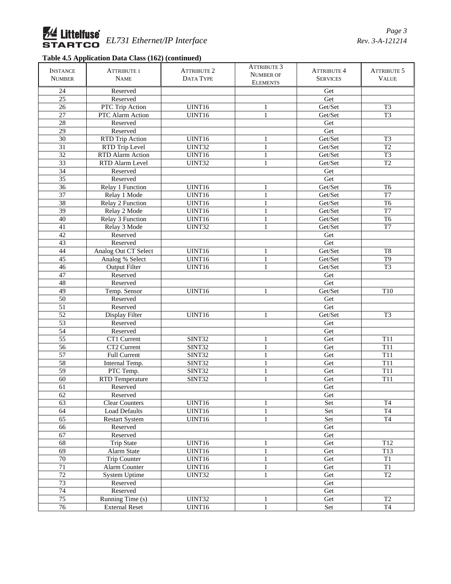

# **Table 4.5 Application Data Class (162) (continued)**

| <b>INSTANCE</b><br><b>NUMBER</b> | <b>ATTRIBUTE 1</b><br><b>NAME</b> | <b>ATTRIBUTE 2</b><br><b>DATA TYPE</b> | <b>ATTRIBUTE 3</b><br><b>NUMBER OF</b><br><b>ELEMENTS</b> | <b>ATTRIBUTE 4</b><br><b>SERVICES</b> | <b>ATTRIBUTE 5</b><br><b>VALUE</b> |
|----------------------------------|-----------------------------------|----------------------------------------|-----------------------------------------------------------|---------------------------------------|------------------------------------|
| 24                               | Reserved                          |                                        |                                                           | Get                                   |                                    |
| $\overline{25}$                  | Reserved                          |                                        |                                                           | Get                                   |                                    |
| $\overline{26}$                  | PTC Trip Action                   | UINT16                                 | 1                                                         | Get/Set                               | T <sub>3</sub>                     |
| $\overline{27}$                  | PTC Alarm Action                  | UINT16                                 | $\mathbf{1}$                                              | Get/Set                               | T <sub>3</sub>                     |
| 28                               | Reserved                          |                                        |                                                           | Get                                   |                                    |
| 29                               | Reserved                          |                                        |                                                           | Get                                   |                                    |
| 30                               | RTD Trip Action                   | UINT16                                 | 1                                                         | Get/Set                               | T <sub>3</sub>                     |
| 31                               | RTD Trip Level                    | UINT32                                 | $\mathbf{1}$                                              | Get/Set                               | T <sub>2</sub>                     |
| $\overline{32}$                  | RTD Alarm Action                  | UINT16                                 | 1                                                         | Get/Set                               | T <sub>3</sub>                     |
| $\overline{33}$                  | RTD Alarm Level                   | UINT32                                 | $\mathbf{1}$                                              | Get/Set                               | T <sub>2</sub>                     |
| $\overline{34}$                  | Reserved                          |                                        |                                                           | Get                                   |                                    |
| 35                               | Reserved                          |                                        |                                                           | Get                                   |                                    |
| 36                               | Relay 1 Function                  | UINT16                                 | 1                                                         | Get/Set                               | T <sub>6</sub>                     |
| 37                               | Relay 1 Mode                      | UINT16                                 | $\mathbf{1}$                                              | Get/Set                               | T7                                 |
| $\overline{38}$                  | Relay 2 Function                  | UINT16                                 | $\mathbf{1}$                                              | Get/Set                               | T <sub>6</sub>                     |
| 39                               | Relay 2 Mode                      | UINT16                                 | $\mathbf{1}$                                              | Get/Set                               | T <sub>7</sub>                     |
| 40                               | Relay 3 Function                  | UINT16                                 | $\mathbf{1}$                                              | Get/Set                               | T <sub>6</sub>                     |
| 41                               | Relay 3 Mode                      | UINT32                                 | 1                                                         | Get/Set                               | T7                                 |
| 42                               | Reserved                          |                                        |                                                           | Get                                   |                                    |
| $\overline{43}$                  | Reserved                          |                                        |                                                           | Get                                   |                                    |
| 44                               | Analog Out CT Select              | UINT16                                 | $\mathbf{1}$                                              | Get/Set                               | T <sub>8</sub>                     |
| 45                               | Analog % Select                   | UINT16                                 | $\mathbf{1}$                                              | Get/Set                               | T <sub>9</sub>                     |
| 46                               | <b>Output Filter</b>              | UINT16                                 | $\mathbf{1}$                                              | Get/Set                               | T <sub>3</sub>                     |
| 47                               | Reserved                          |                                        |                                                           | Get                                   |                                    |
| 48                               | Reserved                          |                                        |                                                           | Get                                   |                                    |
| 49                               | Temp. Sensor                      | UINT16                                 | 1                                                         | Get/Set                               | T <sub>10</sub>                    |
| 50                               | Reserved                          |                                        |                                                           | Get                                   |                                    |
| 51                               | Reserved                          |                                        |                                                           | Get                                   |                                    |
| 52                               | Display Filter                    | UINT16                                 | $\mathbf{1}$                                              | Get/Set                               | T <sub>3</sub>                     |
| $\overline{53}$                  | Reserved                          |                                        |                                                           | Get                                   |                                    |
| 54                               | Reserved                          |                                        |                                                           | Get                                   |                                    |
| $\overline{55}$                  | CT1 Current                       | SINT32                                 | $\mathbf{1}$                                              | Get                                   | T11                                |
| 56                               | CT2 Current                       | SINT32                                 | $\mathbf{1}$                                              | Get                                   | T11                                |
| 57                               | <b>Full Current</b>               | SINT32                                 | 1                                                         | Get                                   | T11                                |
| 58                               | Internal Temp.                    | SINT32                                 | $\mathbf{1}$                                              | Get                                   | T11                                |
| $\overline{59}$                  | PTC Temp.                         | SINT32                                 | $\mathbf{1}$                                              | Get                                   | T11                                |
| 60                               | <b>RTD</b> Temperature            | SINT32                                 | $\mathbf{1}$                                              | Get                                   | <b>T11</b>                         |
| 61                               | Reserved                          |                                        |                                                           | Get                                   |                                    |
| 62                               | Reserved                          |                                        |                                                           | Get                                   |                                    |
| 63                               | <b>Clear Counters</b>             | UINT16                                 | 1                                                         | Set                                   | $\operatorname{T4}$                |
| 64                               | <b>Load Defaults</b>              | UINT16                                 | $\mathbf{1}$                                              | Set                                   | <b>T4</b>                          |
| $\overline{65}$                  | <b>Restart System</b>             | UINT16                                 | $\mathbf{1}$                                              | Set                                   | T <sub>4</sub>                     |
| 66                               | Reserved                          |                                        |                                                           | Get                                   |                                    |
| 67                               | Reserved                          |                                        |                                                           | Get                                   |                                    |
| 68                               | Trip State                        | UINT16                                 | $\mathbf{1}$                                              | Get                                   | T12                                |
| $\overline{69}$                  | Alarm State                       | UINT16                                 | $\mathbf{1}$                                              | Get                                   | $\overline{T13}$                   |
| $\overline{70}$                  | Trip Counter                      | UINT16                                 | $\mathbf{1}$                                              | Get                                   | $\overline{T1}$                    |
| 71                               | Alarm Counter                     | UINT16                                 | $\mathbf{1}$                                              | Get                                   | $\overline{T1}$                    |
| $\overline{72}$                  | <b>System Uptime</b>              | UINT32                                 | $\mathbf{1}$                                              | Get                                   | $\overline{T2}$                    |
| 73                               | Reserved                          |                                        |                                                           | Get                                   |                                    |
| 74                               | Reserved                          |                                        |                                                           | Get                                   |                                    |
| $\overline{75}$                  | Running Time (s)                  | UINT32                                 | 1                                                         | Get                                   | T2                                 |
| 76                               | <b>External Reset</b>             | UINT16                                 | $\mathbf{1}$                                              | Set                                   | T <sub>4</sub>                     |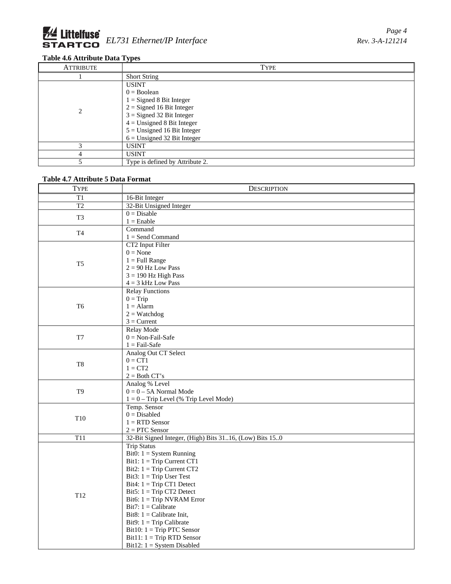# **Table 4.6 Attribute Data Types**

| <b>ATTRIBUTE</b> | <b>TYPE</b>                                                                                                                                                                                                                 |
|------------------|-----------------------------------------------------------------------------------------------------------------------------------------------------------------------------------------------------------------------------|
|                  | <b>Short String</b>                                                                                                                                                                                                         |
| 2                | <b>USINT</b><br>$0 = Boolean$<br>$1 =$ Signed 8 Bit Integer<br>$2 =$ Signed 16 Bit Integer<br>$3 =$ Signed 32 Bit Integer<br>$4 =$ Unsigned 8 Bit Integer<br>$5 =$ Unsigned 16 Bit Integer<br>$6 =$ Unsigned 32 Bit Integer |
|                  | <b>USINT</b>                                                                                                                                                                                                                |
| 4                | <b>USINT</b>                                                                                                                                                                                                                |
|                  | Type is defined by Attribute 2.                                                                                                                                                                                             |

### **Table 4.7 Attribute 5 Data Format**

| <b>TYPE</b>         | <b>DESCRIPTION</b>                                          |
|---------------------|-------------------------------------------------------------|
| $\overline{T1}$     | 16-Bit Integer                                              |
| T2                  | 32-Bit Unsigned Integer                                     |
| T <sub>3</sub>      | $0 = Disable$                                               |
|                     | $1 =$ Enable                                                |
| $\operatorname{T4}$ | Command                                                     |
|                     | $1 =$ Send Command                                          |
|                     | CT2 Input Filter                                            |
| T <sub>5</sub>      | $0 = None$                                                  |
|                     | $1 = Full Range$                                            |
|                     | $2 = 90$ Hz Low Pass                                        |
|                     | $3 = 190$ Hz High Pass                                      |
|                     | $4 = 3$ kHz Low Pass                                        |
|                     | <b>Relay Functions</b>                                      |
|                     | $0 =$ Trip                                                  |
| T <sub>6</sub>      | $1 =$ Alarm<br>$2 = Watchdog$                               |
|                     | $3$ = Current                                               |
|                     | Relay Mode                                                  |
| T7                  | $0 = Non-Fail-Safe$                                         |
|                     | $1 =$ Fail-Safe                                             |
|                     | Analog Out CT Select                                        |
|                     | $0 = CT1$                                                   |
| T <sub>8</sub>      | $1 = CT2$                                                   |
|                     | $2 = Both CT's$                                             |
|                     | Analog % Level                                              |
| T <sub>9</sub>      | $0 = 0 - 5A$ Normal Mode                                    |
|                     | $1 = 0$ – Trip Level (% Trip Level Mode)                    |
|                     | Temp. Sensor                                                |
| T <sub>10</sub>     | $0 = Disabled$                                              |
|                     | $1 =$ RTD Sensor                                            |
|                     | $2 = PTC$ Sensor                                            |
| $\overline{T11}$    | 32-Bit Signed Integer, (High) Bits 3116, (Low) Bits 150     |
|                     | <b>Trip Status</b>                                          |
|                     | Bit $\hat{0}$ : 1 = System Running                          |
|                     | Bit1: $1 = Trip$ Current CT1                                |
|                     | Bit2: $1 =$ Trip Current CT2                                |
|                     | Bit3: $1 =$ Trip User Test                                  |
|                     | Bit4: $1 =$ Trip CT1 Detect                                 |
| T <sub>12</sub>     | Bit5: $1 =$ Trip CT2 Detect<br>Bit6: $1 =$ Trip NVRAM Error |
|                     | Bit7: $1 =$ Calibrate                                       |
|                     | Bit8: $1 =$ Calibrate Init.                                 |
|                     | Bit9: $1 =$ Trip Calibrate                                  |
|                     | Bit10: $1 =$ Trip PTC Sensor                                |
|                     | Bit11: $1 =$ Trip RTD Sensor                                |
|                     | Bit12: $1 = System Disabeled$                               |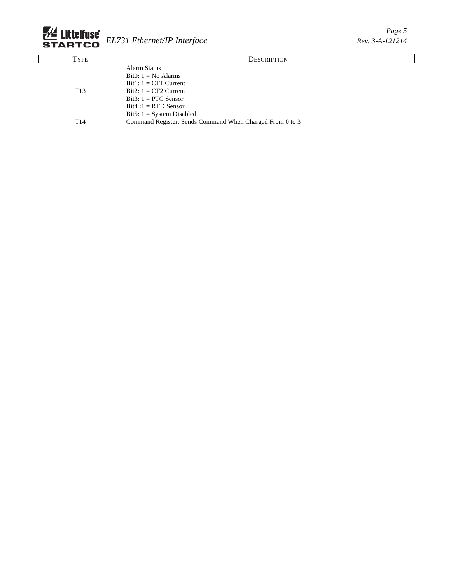

| <b>TYPE</b>     | <b>DESCRIPTION</b>                                                                                                                                                                    |
|-----------------|---------------------------------------------------------------------------------------------------------------------------------------------------------------------------------------|
| T <sub>13</sub> | <b>Alarm Status</b><br>$Bit0: 1 = No$ Alarms<br>$Bit1: 1 = CT1$ Current<br>Bit2: $1 = CT2$ Current<br>Bit3: $1 = PTC$ Sensor<br>$Bit4:1 = RTD$ Sensor<br>Bit5: $1 = System Disabeled$ |
| T <sub>14</sub> | Command Register: Sends Command When Charged From 0 to 3                                                                                                                              |